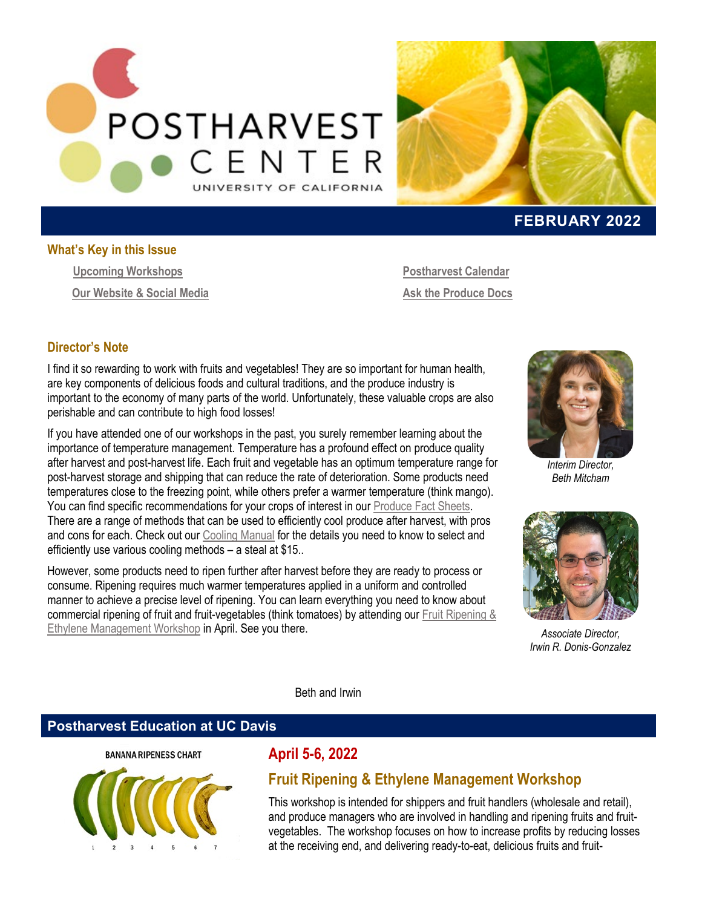



### **FEBRUARY 2022**

#### **What's Key in this Issue**

<span id="page-0-1"></span>**[Upcoming Workshops](#page-0-0) Our Website & Social Media** **[Postharvest Calendar](#page-2-0) Ask the Produce Docs**

### **Director's Note**

I find it so rewarding to work with fruits and vegetables! They are so important for human health, are key components of delicious foods and cultural traditions, and the produce industry is important to the economy of many parts of the world. Unfortunately, these valuable crops are also perishable and can contribute to high food losses!

If you have attended one of our workshops in the past, you surely remember learning about the importance of temperature management. Temperature has a profound effect on produce quality after harvest and post-harvest life. Each fruit and vegetable has an optimum temperature range for post-harvest storage and shipping that can reduce the rate of deterioration. Some products need temperatures close to the freezing point, while others prefer a warmer temperature (think mango). You can find specific recommendations for your crops of interest in ou[r Produce Fact Sheets.](https://postharvest.ucdavis.edu/Commodity_Resources/Fact_Sheets/) There are a range of methods that can be used to efficiently cool produce after harvest, with pros and cons for each. Check out our [Cooling Manual](https://marketplace.ucdavis.edu/C21642_ustores/web/store_cat.jsp?STOREID=25&CATID=170&SINGLESTORE=true) for the details you need to know to select and efficiently use various cooling methods – a steal at \$15..

However, some products need to ripen further after harvest before they are ready to process or consume. Ripening requires much warmer temperatures applied in a uniform and controlled manner to achieve a precise level of ripening. You can learn everything you need to know about commercial ripening of fruit and fruit-vegetables (think tomatoes) by attending our [Fruit Ripening &](https://postharvest.ucdavis.edu/Workshops/Fruit_Ripening_-_Ethylene_Management_342/)  [Ethylene Management Workshop](https://postharvest.ucdavis.edu/Workshops/Fruit_Ripening_-_Ethylene_Management_342/) in April. See you there.



*Interim Director, Beth Mitcham*



*Associate Director, Irwin R. Donis-Gonzalez*

Beth and Irwin

### <span id="page-0-0"></span>**Postharvest Education at UC Davis**



## **April 5-6, 2022**

## **Fruit Ripening & Ethylene Management Workshop**

This workshop is intended for shippers and fruit handlers (wholesale and retail), and produce managers who are involved in handling and ripening fruits and fruitvegetables. The workshop focuses on how to increase profits by reducing losses at the receiving end, and delivering ready-to-eat, delicious fruits and fruit-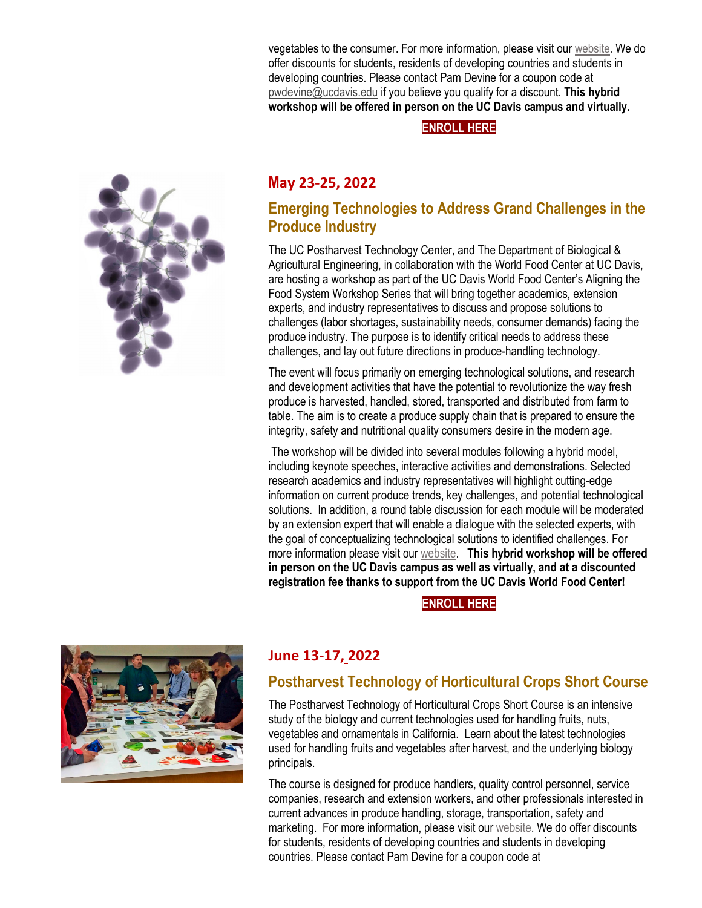vegetables to the consumer. For more information, please visit ou[r website.](https://postharvest.ucdavis.edu/Workshops/Fruit_Ripening_-_Ethylene_Management_342/) We do offer discounts for students, residents of developing countries and students in developing countries. Please contact Pam Devine for a coupon code at [pwdevine@ucdavis.edu](mailto:pwdevine@ucdavis.edu) if you believe you qualify for a discount. **This hybrid workshop will be offered in person on the UC Davis campus and virtually.**

**[ENROLL HERE](https://registration.ucdavis.edu/Item/Details/776)**



## **M[ay](https://registration.ucdavis.edu/Item/Details/750) 23-25, 2022**

## **Emerging Technologies to Address Grand Challenges in the Produce Industry**

The UC Postharvest Technology Center, and The Department of Biological & Agricultural Engineering, in collaboration with the World Food Center at UC Davis, are hosting a workshop as part of the UC Davis World Food Center's Aligning the Food System Workshop Series that will bring together academics, extension experts, and industry representatives to discuss and propose solutions to challenges (labor shortages, sustainability needs, consumer demands) facing the produce industry. The purpose is to identify critical needs to address these challenges, and lay out future directions in produce-handling technology.

The event will focus primarily on emerging technological solutions, and research and development activities that have the potential to revolutionize the way fresh produce is harvested, handled, stored, transported and distributed from farm to table. The aim is to create a produce supply chain that is prepared to ensure the integrity, safety and nutritional quality consumers desire in the modern age.

The workshop will be divided into several modules following a hybrid model, including keynote speeches, interactive activities and demonstrations. Selected research academics and industry representatives will highlight cutting-edge information on current produce trends, key challenges, and potential technological solutions. In addition, a round table discussion for each module will be moderated by an extension expert that will enable a dialogue with the selected experts, with the goal of conceptualizing technological solutions to identified challenges. For more information please visit our [website.](https://postharvest.ucdavis.edu/Workshops/Emerging_technologies_addressing_grand_challenges_in_the_produce_industry/) **This hybrid workshop will be offered in person on the UC Davis campus as well as virtually, and at a discounted registration fee thanks to support from the UC Davis World Food Center!**

**[ENROLL HERE](https://registration.ucdavis.edu/Item/Details/750)**



## **June 13-17, 2022**

# **Postharvest Technology of Horticultural Crops Short Course**

The Postharvest Technology of Horticultural Crops Short Course is an intensive study of the biology and current technologies used for handling fruits, nuts, vegetables and ornamentals in California. Learn about the latest technologies used for handling fruits and vegetables after harvest, and the underlying biology principals.

The course is designed for produce handlers, quality control personnel, service companies, research and extension workers, and other professionals interested in current advances in produce handling, storage, transportation, safety and marketing. For more information, please visit ou[r website.](https://postharvest.ucdavis.edu/Workshops/Postharvest_Technology_of_Horticultural_Crops_Short_Course/) We do offer discounts for students, residents of developing countries and students in developing countries. Please contact Pam Devine for a coupon code at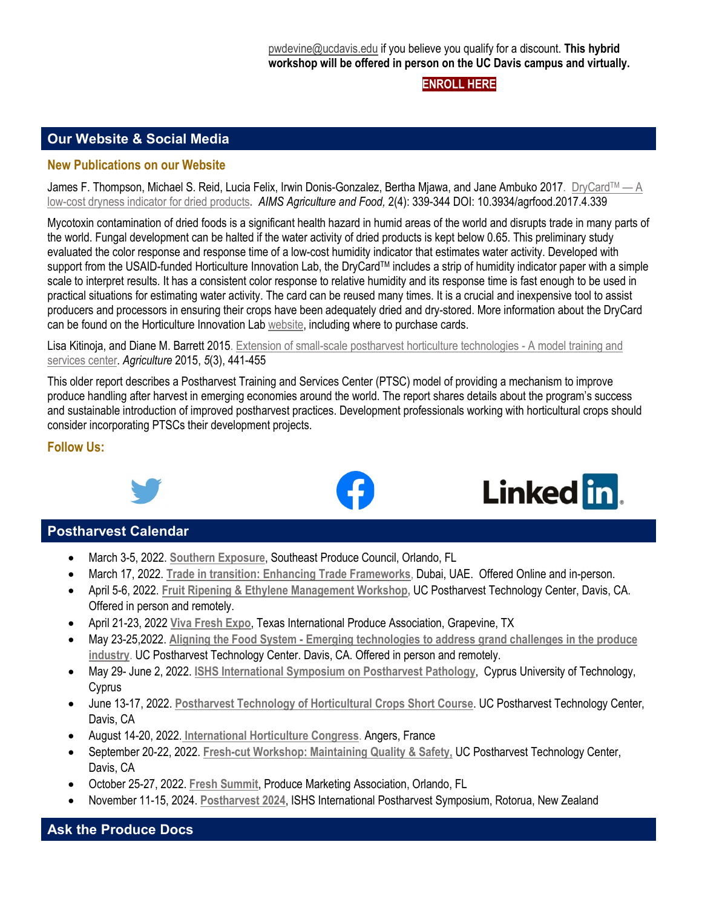**[ENROLL HERE](https://registration.ucdavis.edu/Item/Details/800)**

Linked in.

### **Our Website [& Social Media](#page-0-1)**

#### **New Publications on our Website**

James F. Thompson, Michael S. Reid, Lucia Felix, Irwin Donis-Gonzalez, Bertha Mjawa, and Jane Ambuko 2017. DryCard™—A [low-cost dryness indicator for dried products](https://ucanr.edu/sites/Postharvest_Technology_Center_/files/363306.pdf)**.** *AIMS Agriculture and Food,* 2(4): 339-344 DOI: 10.3934/agrfood.2017.4.339

Mycotoxin contamination of dried foods is a significant health hazard in humid areas of the world and disrupts trade in many parts of the world. Fungal development can be halted if the water activity of dried products is kept below 0.65. This preliminary study evaluated the color response and response time of a low-cost humidity indicator that estimates water activity. Developed with support from the USAID-funded Horticulture Innovation Lab, the DryCard™ includes a strip of humidity indicator paper with a simple scale to interpret results. It has a consistent color response to relative humidity and its response time is fast enough to be used in practical situations for estimating water activity. The card can be reused many times. It is a crucial and inexpensive tool to assist producers and processors in ensuring their crops have been adequately dried and dry-stored. More information about the DryCard can be found on the Horticulture Innovation Lab [website,](https://horticulture.ucdavis.edu/drycard) including where to purchase cards.

[Lisa Kitinoja,](https://sciprofiles.com/profile/112842) an[d Diane M. Barrett](https://sciprofiles.com/profile/130633) 2015. [Extension of small-scale postharvest horticulture technologies -](https://ucanr.edu/sites/Postharvest_Technology_Center_/files/363307.pdf) A model training and [services center.](https://ucanr.edu/sites/Postharvest_Technology_Center_/files/363307.pdf) *Agriculture* 2015, *5*(3), 441-455

This older report describes a Postharvest Training and Services Center (PTSC) model of providing a mechanism to improve produce handling after harvest in emerging economies around the world. The report shares details about the program's success and sustainable introduction of improved postharvest practices. Development professionals working with horticultural crops should consider incorporating PTSCs their development projects.

#### **Follow Us:**



### <span id="page-2-0"></span>**Postharvest Calendar**

- March 3-5, 2022. **[Southern Exposure](https://seproducecouncil.com/events-networking/southern-exposure/)**, Southeast Produce Council, Orlando, FL
- March 17, 2022. **[Trade in transition: Enhancing Trade Frameworks](https://events.economist.com/events-conferences/trade-in-transition-enhancing-trade-frameworks/?utm_medium=Eloqua&utm_source=email)**, Dubai, UAE. Offered Online and in-person.
- April 5-6, 2022. **[Fruit Ripening & Ethylene Management Workshop,](http://postharvest.ucdavis.edu/Workshops/Fruit_Ripening_-_Ethylene_Management_342/)** UC Postharvest Technology Center, Davis, CA. Offered in person and remotely.
- April 21-23, 2022 **[Viva Fresh Expo](https://vivafreshexpo.com/)**, Texas International Produce Association, Grapevine, TX
- May 23-25,2022. **Aligning the Food System - [Emerging technologies to address grand challenges in the produce](http://postharvest.ucdavis.edu/Workshops/Emerging_technologies_addressing_grand_challenges_in_the_produce_industry/)  [industry](http://postharvest.ucdavis.edu/Workshops/Emerging_technologies_addressing_grand_challenges_in_the_produce_industry/)**. UC Postharvest Technology Center. Davis, CA. Offered in person and remotely.
- May 29- June 2, 2022. **[ISHS International Symposium on Postharvest Pathology](http://web.cut.ac.cy/postharvestpathology2021/)**, Cyprus University of Technology, **Cyprus**
- June 13-17, 2022. **[Postharvest Technology of Horticultural Crops Short Course](http://postharvest.ucdavis.edu/Workshops/Postharvest_Technology_of_Horticultural_Crops_Short_Course/)**. UC Postharvest Technology Center, Davis, CA
- August 14-20, 2022. **[International Horticulture](https://www.ihc2022.org/) Congress**. Angers, France
- September 20-22, 2022. **[Fresh-cut Workshop: Maintaining Quality & Safety,](https://postharvest.ucdavis.edu/Workshops/Fresh-cut_Products_Workshop__Maintaining_Quality_-_Safety/)** UC Postharvest Technology Center, Davis, CA
- October 25-27, 2022. **[Fresh Summit](https://10times.com/produce-marketing-association-fresh-summit)**, Produce Marketing Association, Orlando, FL
- November 11-15, 2024. **[Postharvest 2024](https://www.scienceevents.co.nz/postharvest2024)**, ISHS International Postharvest Symposium, Rotorua, New Zealand

### **Ask the Produce Docs**